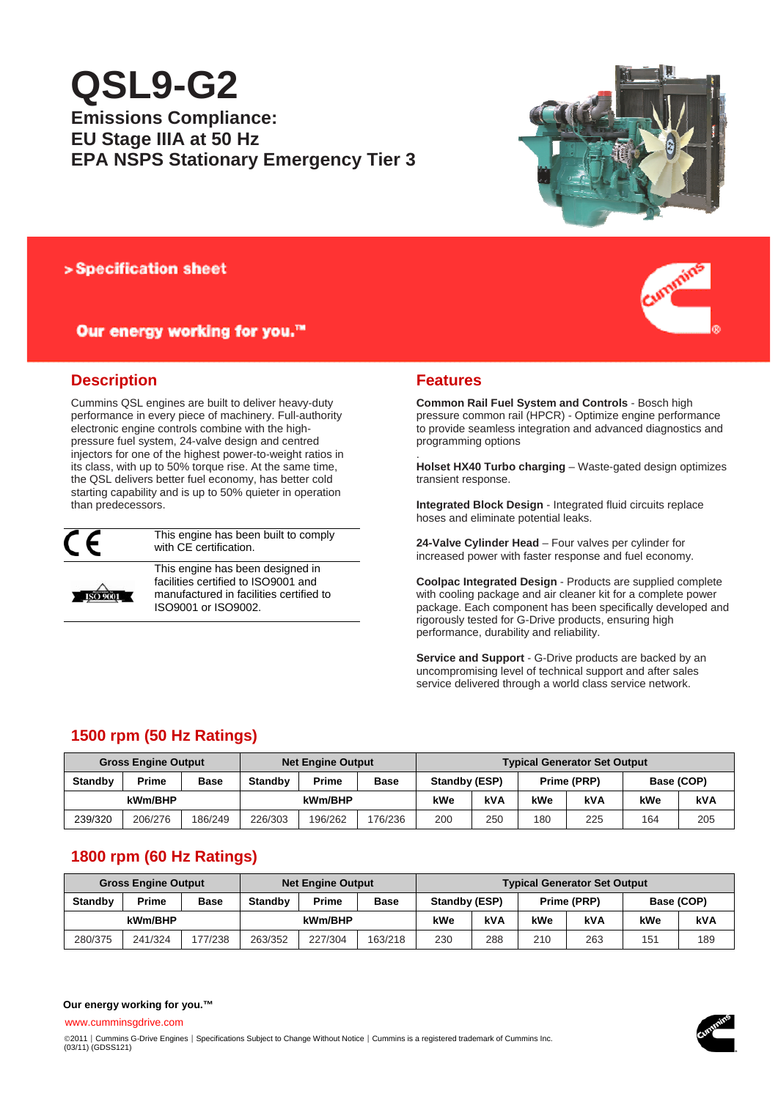# **QSL9-G2**

# **Emissions Compliance: EU Stage IIIA at 50 Hz EPA NSPS Stationary Emergency Tier 3**



## > Specification sheet

# Our energy working for you.™



# **Description**

Cummins QSL engines are built to deliver heavy-duty performance in every piece of machinery. Full-authority electronic engine controls combine with the highpressure fuel system, 24-valve design and centred injectors for one of the highest power-to-weight ratios in its class, with up to 50% torque rise. At the same time, the QSL delivers better fuel economy, has better cold starting capability and is up to 50% quieter in operation than predecessors.



This engine has been built to comply with CE certification.



This engine has been designed in facilities certified to ISO9001 and manufactured in facilities certified to ISO9001 or ISO9002.

### **Features**

.

**Common Rail Fuel System and Controls** - Bosch high pressure common rail (HPCR) - Optimize engine performance to provide seamless integration and advanced diagnostics and programming options

**Holset HX40 Turbo charging** – Waste-gated design optimizes transient response.

**Integrated Block Design** - Integrated fluid circuits replace hoses and eliminate potential leaks.

**24-Valve Cylinder Head** – Four valves per cylinder for increased power with faster response and fuel economy.

**Coolpac Integrated Design** - Products are supplied complete with cooling package and air cleaner kit for a complete power package. Each component has been specifically developed and rigorously tested for G-Drive products, ensuring high performance, durability and reliability.

**Service and Support** - G-Drive products are backed by an uncompromising level of technical support and after sales service delivered through a world class service network.

# **1500 rpm (50 Hz Ratings)**

| <b>Gross Engine Output</b> |         |             |                | <b>Net Engine Output</b> |         |               | <b>Typical Generator Set Output</b> |             |            |            |     |  |
|----------------------------|---------|-------------|----------------|--------------------------|---------|---------------|-------------------------------------|-------------|------------|------------|-----|--|
| <b>Standby</b>             | Prime   | <b>Base</b> | <b>Standby</b> | Prime                    | Base    | Standby (ESP) |                                     | Prime (PRP) |            | Base (COP) |     |  |
| kWm/BHP                    |         |             |                | kWm/BHP                  |         | kWe           | kVA                                 | kWe         | <b>kVA</b> | kWe        | kVA |  |
| 239/320                    | 206/276 | 186/249     | 226/303        | 196/262                  | 176/236 | 200           | 250                                 | 180         | 225        | 164        | 205 |  |

# **1800 rpm (60 Hz Ratings)**

**Our energy working for you.™** www.cumminsgdrive.com

| <b>Gross Engine Output</b> |         |             | <b>Net Engine Output</b> |         |             | <b>Typical Generator Set Output</b> |            |             |     |            |     |
|----------------------------|---------|-------------|--------------------------|---------|-------------|-------------------------------------|------------|-------------|-----|------------|-----|
| <b>Standby</b>             | Prime   | <b>Base</b> | <b>Standby</b>           | Prime   | <b>Base</b> | Standby (ESP)                       |            | Prime (PRP) |     | Base (COP) |     |
| kWm/BHP                    |         |             |                          | kWm/BHP |             | kWe                                 | <b>kVA</b> | kWe         | kVA | kWe        | kVA |
| 280/375                    | 241/324 | 77/238      | 263/352                  | 227/304 | 163/218     | 230                                 | 288        | 210         | 263 | 151        | 189 |